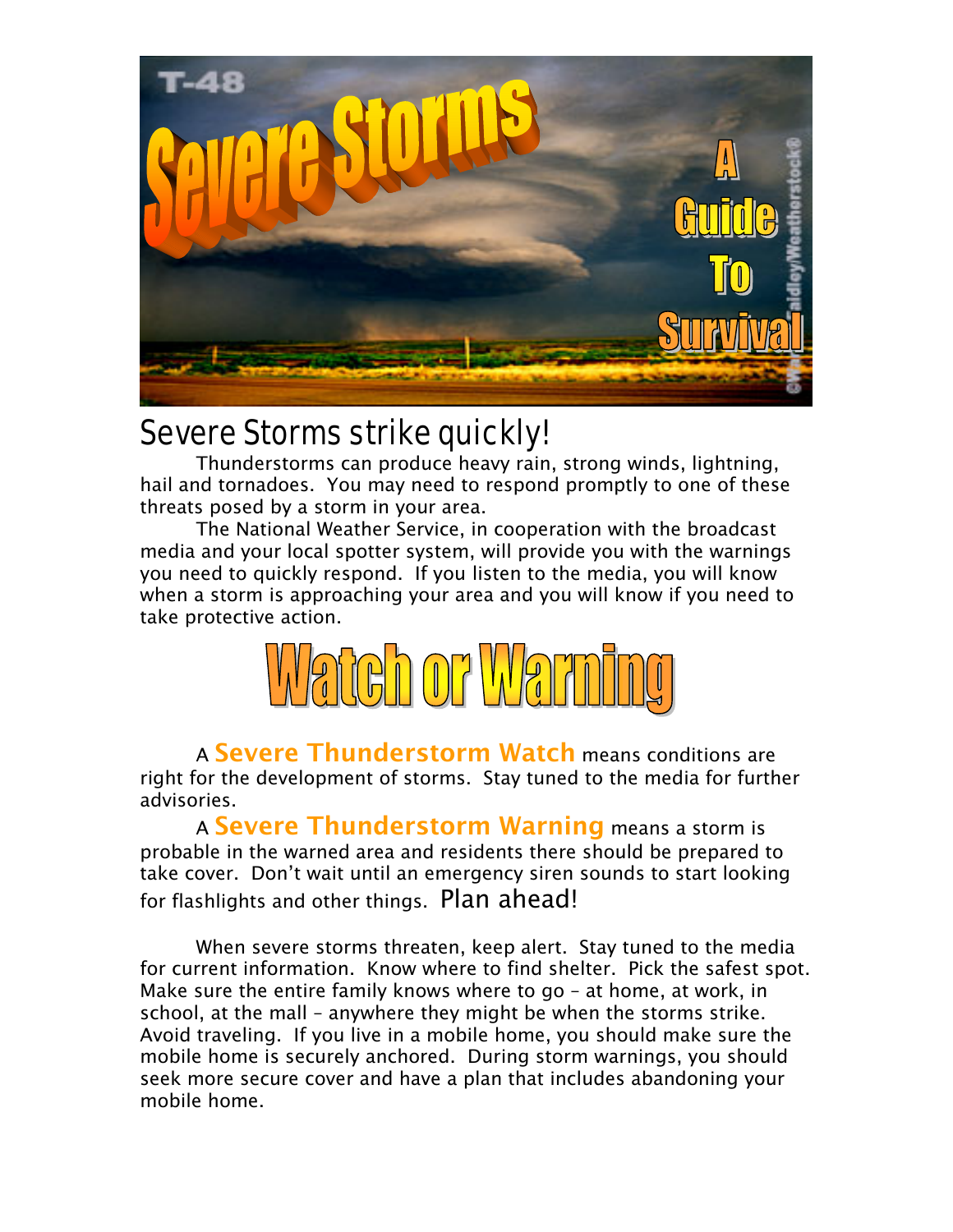

## Severe Storms strike quickly!

Thunderstorms can produce heavy rain, strong winds, lightning, hail and tornadoes. You may need to respond promptly to one of these threats posed by a storm in your area.

The National Weather Service, in cooperation with the broadcast media and your local spotter system, will provide you with the warnings you need to quickly respond. If you listen to the media, you will know when a storm is approaching your area and you will know if you need to take protective action.



A Severe Thunderstorm Watch means conditions are right for the development of storms. Stay tuned to the media for further advisories.

A Severe Thunderstorm Warning means a storm is probable in the warned area and residents there should be prepared to take cover. Don't wait until an emergency siren sounds to start looking for flashlights and other things. Plan ahead!

When severe storms threaten, keep alert. Stay tuned to the media for current information. Know where to find shelter. Pick the safest spot. Make sure the entire family knows where to go – at home, at work, in school, at the mall – anywhere they might be when the storms strike. Avoid traveling. If you live in a mobile home, you should make sure the mobile home is securely anchored. During storm warnings, you should seek more secure cover and have a plan that includes abandoning your mobile home.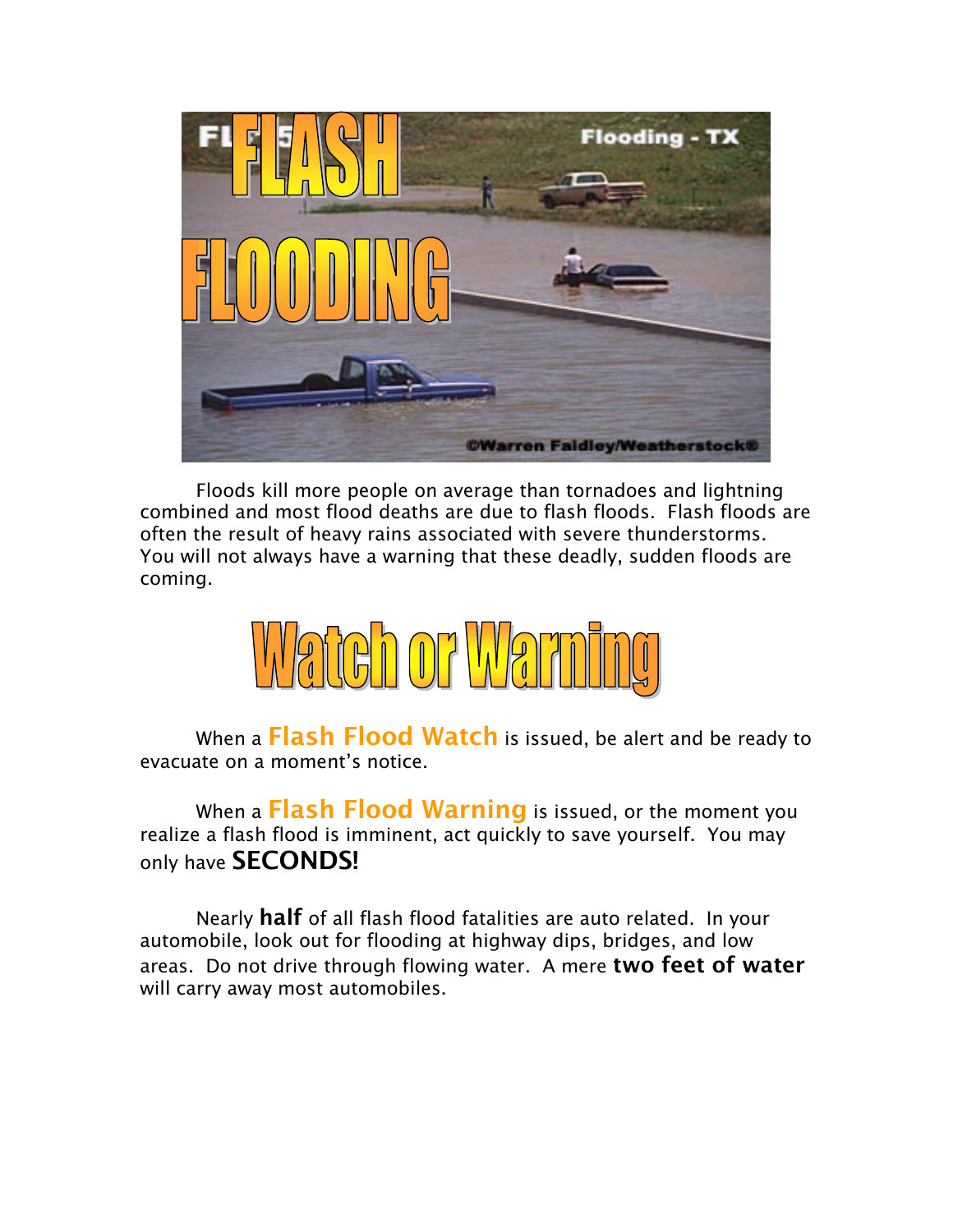

Floods kill more people on average than tornadoes and lightning combined and most flood deaths are due to flash floods. Flash floods are often the result of heavy rains associated with severe thunderstorms. You will not always have a warning that these deadly, sudden floods are coming.



When a Flash Flood Watch is issued, be alert and be ready to evacuate on a moment's notice.

When a Flash Flood Warning is issued, or the moment you realize a flash flood is imminent, act quickly to save yourself. You may only have **SECONDS!** 

Nearly half of all flash flood fatalities are auto related. In your automobile, look out for flooding at highway dips, bridges, and low areas. Do not drive through flowing water. A mere two feet of water will carry away most automobiles.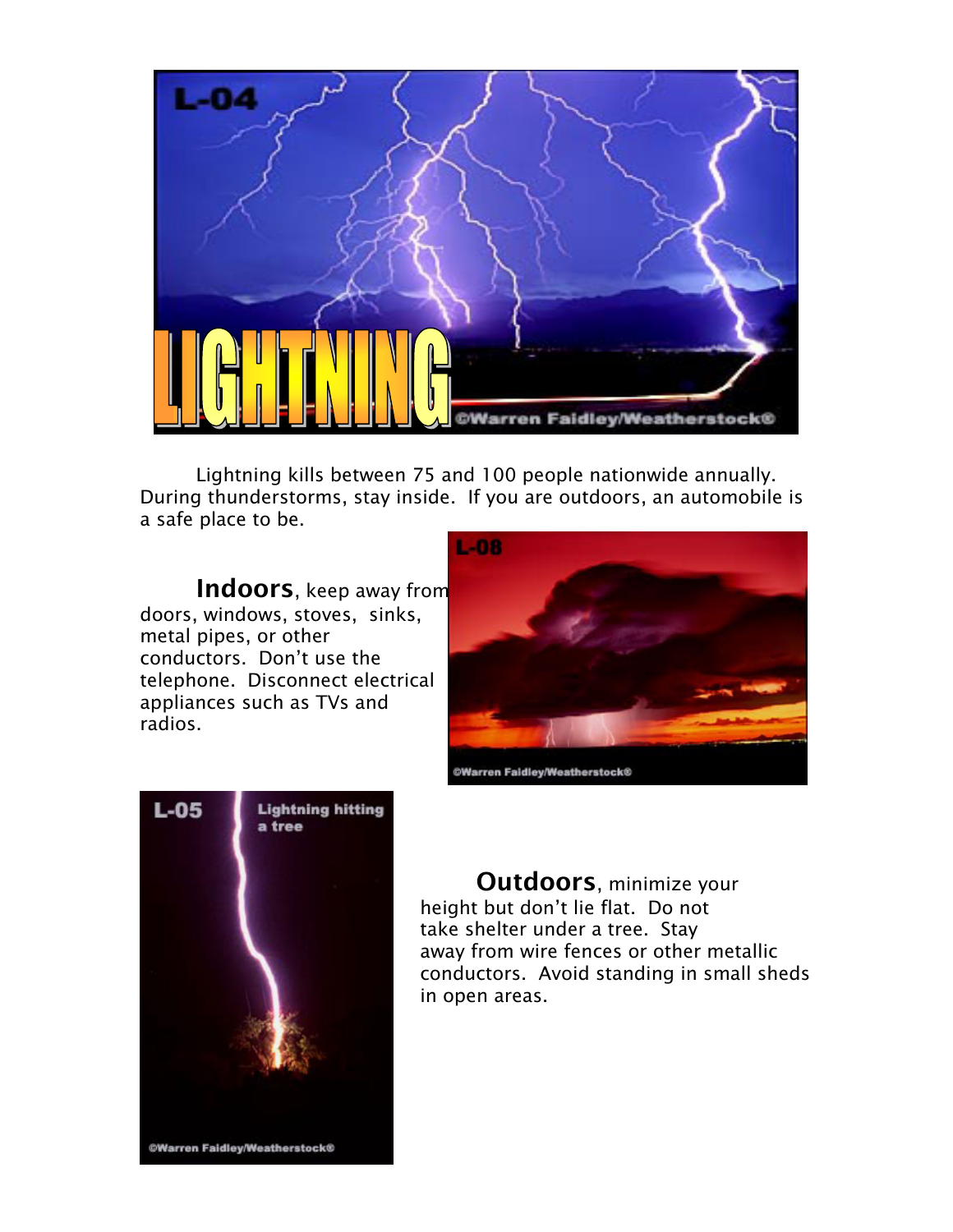

Lightning kills between 75 and 100 people nationwide annually. During thunderstorms, stay inside. If you are outdoors, an automobile is a safe place to be.

Indoors, keep away from doors, windows, stoves, sinks, metal pipes, or other conductors. Don't use the telephone. Disconnect electrical appliances such as TVs and radios.





Outdoors, minimize your height but don't lie flat. Do not take shelter under a tree. Stay away from wire fences or other metallic conductors. Avoid standing in small sheds in open areas.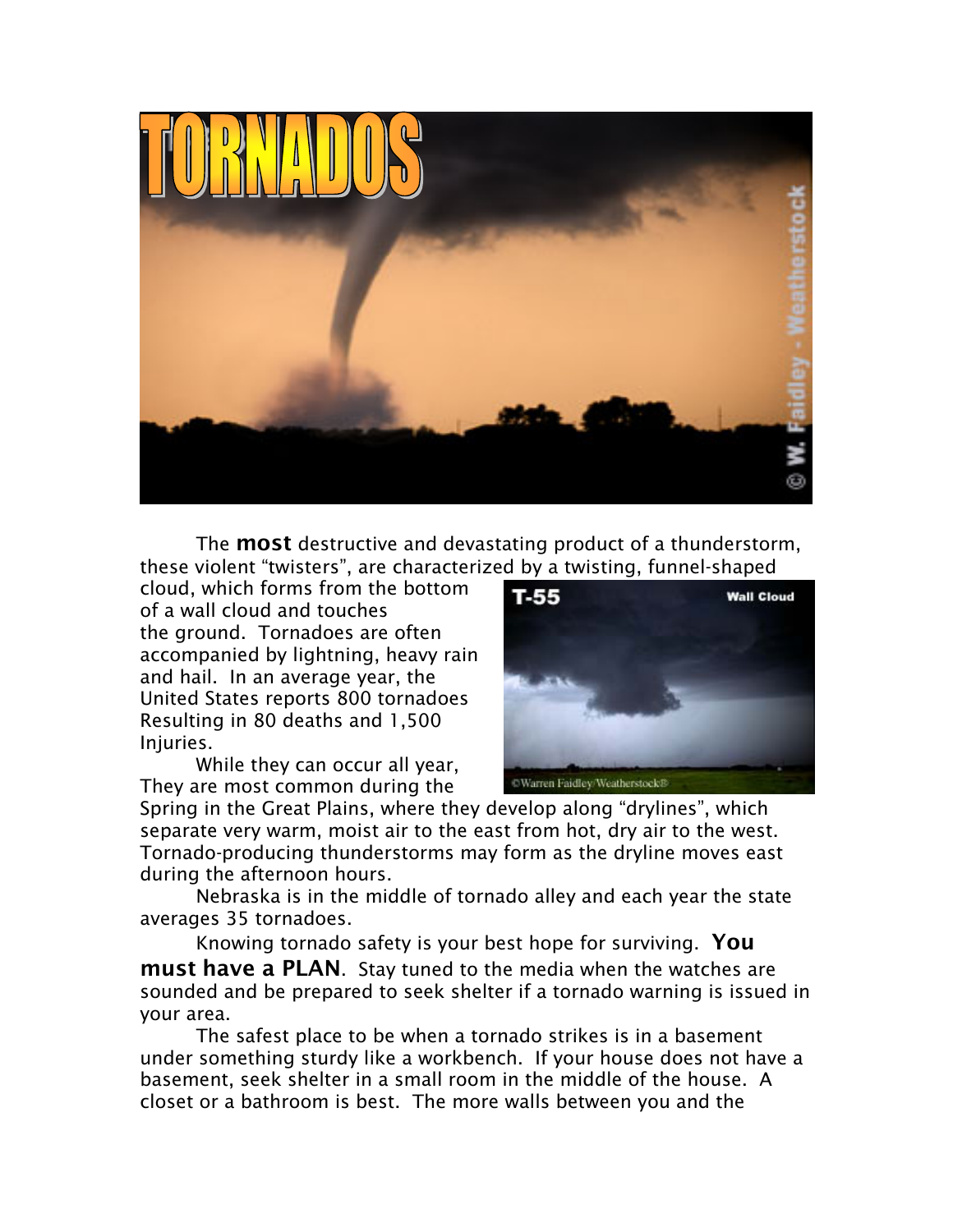

The **most** destructive and devastating product of a thunderstorm, these violent "twisters", are characterized by a twisting, funnel-shaped

cloud, which forms from the bottom of a wall cloud and touches the ground. Tornadoes are often accompanied by lightning, heavy rain and hail. In an average year, the United States reports 800 tornadoes Resulting in 80 deaths and 1,500 Injuries.

While they can occur all year, They are most common during the



Spring in the Great Plains, where they develop along "drylines", which separate very warm, moist air to the east from hot, dry air to the west. Tornado-producing thunderstorms may form as the dryline moves east during the afternoon hours.

Nebraska is in the middle of tornado alley and each year the state averages 35 tornadoes.

Knowing tornado safety is your best hope for surviving. You **must have a PLAN**. Stay tuned to the media when the watches are sounded and be prepared to seek shelter if a tornado warning is issued in your area.

The safest place to be when a tornado strikes is in a basement under something sturdy like a workbench. If your house does not have a basement, seek shelter in a small room in the middle of the house. A closet or a bathroom is best. The more walls between you and the